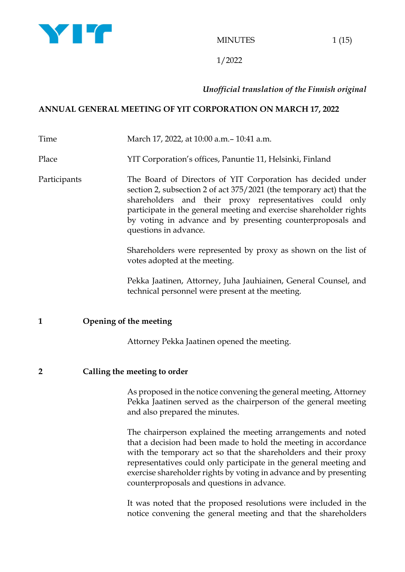

# *Unofficial translation of the Finnish original*

# **ANNUAL GENERAL MEETING OF YIT CORPORATION ON MARCH 17, 2022**

Time March 17, 2022, at 10:00 a.m. – 10:41 a.m.

Place YIT Corporation's offices, Panuntie 11, Helsinki, Finland

Participants The Board of Directors of YIT Corporation has decided under section 2, subsection 2 of act 375/2021 (the temporary act) that the shareholders and their proxy representatives could only participate in the general meeting and exercise shareholder rights by voting in advance and by presenting counterproposals and questions in advance.

> Shareholders were represented by proxy as shown on the list of votes adopted at the meeting.

> Pekka Jaatinen, Attorney, Juha Jauhiainen, General Counsel, and technical personnel were present at the meeting.

# **1 Opening of the meeting**

Attorney Pekka Jaatinen opened the meeting.

# **2 Calling the meeting to order**

As proposed in the notice convening the general meeting, Attorney Pekka Jaatinen served as the chairperson of the general meeting and also prepared the minutes.

The chairperson explained the meeting arrangements and noted that a decision had been made to hold the meeting in accordance with the temporary act so that the shareholders and their proxy representatives could only participate in the general meeting and exercise shareholder rights by voting in advance and by presenting counterproposals and questions in advance.

It was noted that the proposed resolutions were included in the notice convening the general meeting and that the shareholders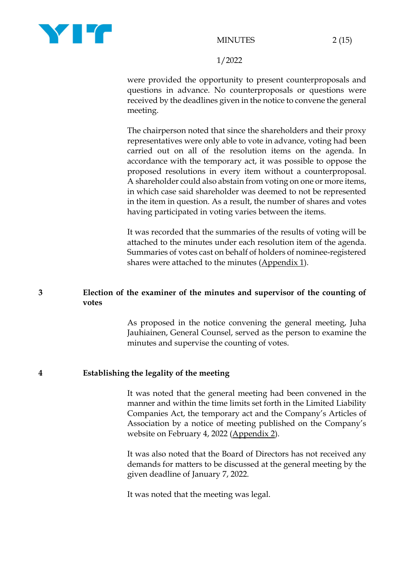

were provided the opportunity to present counterproposals and questions in advance. No counterproposals or questions were received by the deadlines given in the notice to convene the general meeting.

The chairperson noted that since the shareholders and their proxy representatives were only able to vote in advance, voting had been carried out on all of the resolution items on the agenda. In accordance with the temporary act, it was possible to oppose the proposed resolutions in every item without a counterproposal. A shareholder could also abstain from voting on one or more items, in which case said shareholder was deemed to not be represented in the item in question. As a result, the number of shares and votes having participated in voting varies between the items.

It was recorded that the summaries of the results of voting will be attached to the minutes under each resolution item of the agenda. Summaries of votes cast on behalf of holders of nominee-registered shares were attached to the minutes (Appendix 1).

# **3 Election of the examiner of the minutes and supervisor of the counting of votes**

As proposed in the notice convening the general meeting, Juha Jauhiainen, General Counsel, served as the person to examine the minutes and supervise the counting of votes.

## **4 Establishing the legality of the meeting**

It was noted that the general meeting had been convened in the manner and within the time limits set forth in the Limited Liability Companies Act, the temporary act and the Company's Articles of Association by a notice of meeting published on the Company's website on February 4, 2022 (Appendix 2).

It was also noted that the Board of Directors has not received any demands for matters to be discussed at the general meeting by the given deadline of January 7, 2022.

It was noted that the meeting was legal.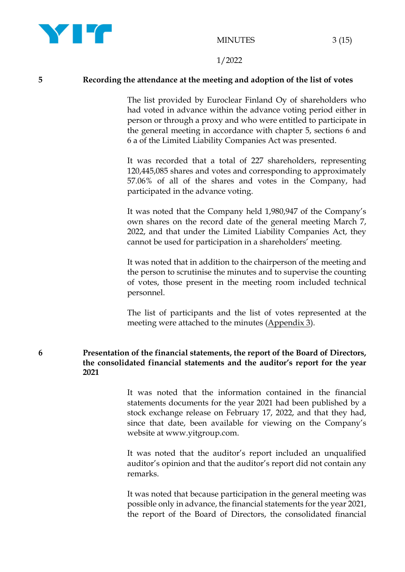

#### **5 Recording the attendance at the meeting and adoption of the list of votes**

The list provided by Euroclear Finland Oy of shareholders who had voted in advance within the advance voting period either in person or through a proxy and who were entitled to participate in the general meeting in accordance with chapter 5, sections 6 and 6 a of the Limited Liability Companies Act was presented.

It was recorded that a total of 227 shareholders, representing 120,445,085 shares and votes and corresponding to approximately 57.06% of all of the shares and votes in the Company, had participated in the advance voting.

It was noted that the Company held 1,980,947 of the Company's own shares on the record date of the general meeting March 7, 2022, and that under the Limited Liability Companies Act, they cannot be used for participation in a shareholders' meeting.

It was noted that in addition to the chairperson of the meeting and the person to scrutinise the minutes and to supervise the counting of votes, those present in the meeting room included technical personnel.

The list of participants and the list of votes represented at the meeting were attached to the minutes (Appendix 3).

# **6 Presentation of the financial statements, the report of the Board of Directors, the consolidated financial statements and the auditor's report for the year 2021**

It was noted that the information contained in the financial statements documents for the year 2021 had been published by a stock exchange release on February 17, 2022, and that they had, since that date, been available for viewing on the Company's website at www.yitgroup.com.

It was noted that the auditor's report included an unqualified auditor's opinion and that the auditor's report did not contain any remarks.

It was noted that because participation in the general meeting was possible only in advance, the financial statements for the year 2021, the report of the Board of Directors, the consolidated financial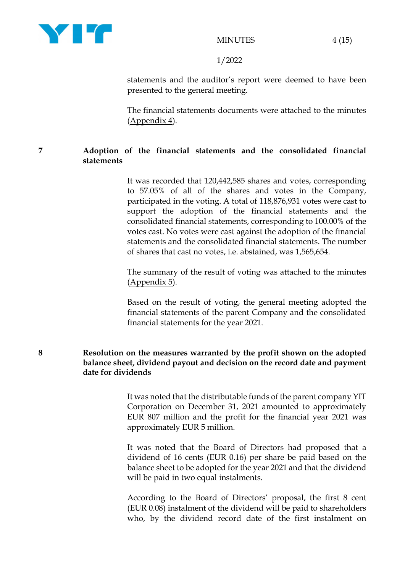

statements and the auditor's report were deemed to have been presented to the general meeting.

The financial statements documents were attached to the minutes (Appendix 4).

# **7 Adoption of the financial statements and the consolidated financial statements**

It was recorded that 120,442,585 shares and votes, corresponding to 57.05% of all of the shares and votes in the Company, participated in the voting. A total of 118,876,931 votes were cast to support the adoption of the financial statements and the consolidated financial statements, corresponding to 100.00% of the votes cast. No votes were cast against the adoption of the financial statements and the consolidated financial statements. The number of shares that cast no votes, i.e. abstained, was 1,565,654.

The summary of the result of voting was attached to the minutes (Appendix 5).

Based on the result of voting, the general meeting adopted the financial statements of the parent Company and the consolidated financial statements for the year 2021.

# **8 Resolution on the measures warranted by the profit shown on the adopted balance sheet, dividend payout and decision on the record date and payment date for dividends**

It was noted that the distributable funds of the parent company YIT Corporation on December 31, 2021 amounted to approximately EUR 807 million and the profit for the financial year 2021 was approximately EUR 5 million.

It was noted that the Board of Directors had proposed that a dividend of 16 cents (EUR 0.16) per share be paid based on the balance sheet to be adopted for the year 2021 and that the dividend will be paid in two equal instalments.

According to the Board of Directors' proposal, the first 8 cent (EUR 0.08) instalment of the dividend will be paid to shareholders who, by the dividend record date of the first instalment on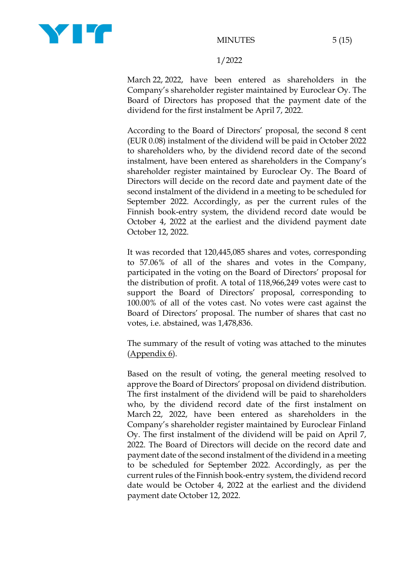

#### MINUTES 5 (15)

#### 1/2022

March 22, 2022, have been entered as shareholders in the Company's shareholder register maintained by Euroclear Oy. The Board of Directors has proposed that the payment date of the dividend for the first instalment be April 7, 2022.

According to the Board of Directors' proposal, the second 8 cent (EUR 0.08) instalment of the dividend will be paid in October 2022 to shareholders who, by the dividend record date of the second instalment, have been entered as shareholders in the Company's shareholder register maintained by Euroclear Oy. The Board of Directors will decide on the record date and payment date of the second instalment of the dividend in a meeting to be scheduled for September 2022. Accordingly, as per the current rules of the Finnish book-entry system, the dividend record date would be October 4, 2022 at the earliest and the dividend payment date October 12, 2022.

It was recorded that 120,445,085 shares and votes, corresponding to 57.06% of all of the shares and votes in the Company, participated in the voting on the Board of Directors' proposal for the distribution of profit. A total of 118,966,249 votes were cast to support the Board of Directors' proposal, corresponding to 100.00% of all of the votes cast. No votes were cast against the Board of Directors' proposal. The number of shares that cast no votes, i.e. abstained, was 1,478,836.

The summary of the result of voting was attached to the minutes (Appendix 6).

Based on the result of voting, the general meeting resolved to approve the Board of Directors' proposal on dividend distribution. The first instalment of the dividend will be paid to shareholders who, by the dividend record date of the first instalment on March 22, 2022, have been entered as shareholders in the Company's shareholder register maintained by Euroclear Finland Oy. The first instalment of the dividend will be paid on April 7, 2022. The Board of Directors will decide on the record date and payment date of the second instalment of the dividend in a meeting to be scheduled for September 2022. Accordingly, as per the current rules of the Finnish book-entry system, the dividend record date would be October 4, 2022 at the earliest and the dividend payment date October 12, 2022.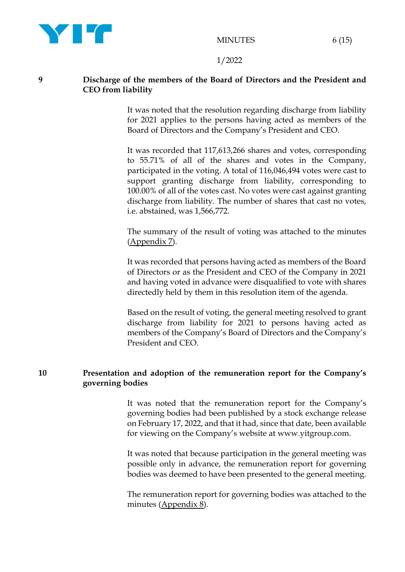

MINUTES 6 (15)

1/2022

#### **9 Discharge of the members of the Board of Directors and the President and CEO from liability**

It was noted that the resolution regarding discharge from liability for 2021 applies to the persons having acted as members of the Board of Directors and the Company's President and CEO.

It was recorded that 117,613,266 shares and votes, corresponding to 55.71% of all of the shares and votes in the Company, participated in the voting. A total of 116,046,494 votes were cast to support granting discharge from liability, corresponding to 100.00% of all of the votes cast. No votes were cast against granting discharge from liability. The number of shares that cast no votes, i.e. abstained, was 1,566,772.

The summary of the result of voting was attached to the minutes (Appendix 7).

It was recorded that persons having acted as members of the Board of Directors or as the President and CEO of the Company in 2021 and having voted in advance were disqualified to vote with shares directedly held by them in this resolution item of the agenda.

Based on the result of voting, the general meeting resolved to grant discharge from liability for 2021 to persons having acted as members of the Company's Board of Directors and the Company's President and CEO.

# **10 Presentation and adoption of the remuneration report for the Company's governing bodies**

It was noted that the remuneration report for the Company's governing bodies had been published by a stock exchange release on February 17, 2022, and that it had, since that date, been available for viewing on the Company's website at www.yitgroup.com.

It was noted that because participation in the general meeting was possible only in advance, the remuneration report for governing bodies was deemed to have been presented to the general meeting.

The remuneration report for governing bodies was attached to the minutes (Appendix 8).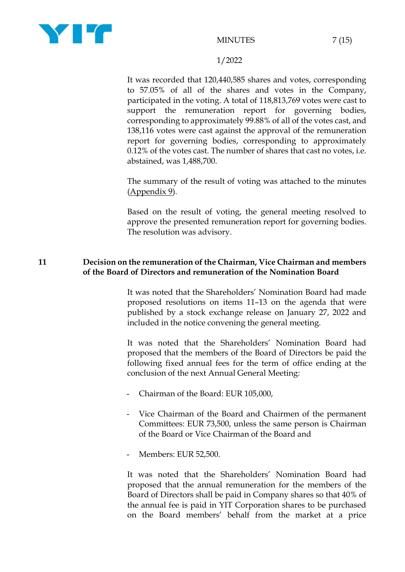

It was recorded that 120,440,585 shares and votes, corresponding to 57.05% of all of the shares and votes in the Company, participated in the voting. A total of 118,813,769 votes were cast to support the remuneration report for governing bodies, corresponding to approximately 99.88% of all of the votes cast, and 138,116 votes were cast against the approval of the remuneration report for governing bodies, corresponding to approximately 0.12% of the votes cast. The number of shares that cast no votes, i.e. abstained, was 1,488,700.

The summary of the result of voting was attached to the minutes (Appendix 9).

Based on the result of voting, the general meeting resolved to approve the presented remuneration report for governing bodies. The resolution was advisory.

# <span id="page-6-0"></span>**11 Decision on the remuneration of the Chairman, Vice Chairman and members of the Board of Directors and remuneration of the Nomination Board**

It was noted that the Shareholders' Nomination Board had made propose[d resolutions on items 11–](#page-6-0)[13](#page-8-0) on the agenda that were published by a stock exchange release on January 27, 2022 and included in the notice convening the general meeting.

It was noted that the Shareholders' Nomination Board had proposed that the members of the Board of Directors be paid the following fixed annual fees for the term of office ending at the conclusion of the next Annual General Meeting:

- Chairman of the Board: EUR 105,000,
- Vice Chairman of the Board and Chairmen of the permanent Committees: EUR 73,500, unless the same person is Chairman of the Board or Vice Chairman of the Board and
- Members: EUR 52,500.

It was noted that the Shareholders' Nomination Board had proposed that the annual remuneration for the members of the Board of Directors shall be paid in Company shares so that 40% of the annual fee is paid in YIT Corporation shares to be purchased on the Board members' behalf from the market at a price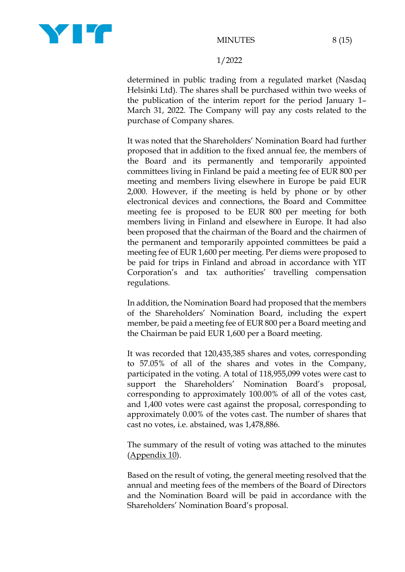determined in public trading from a regulated market (Nasdaq Helsinki Ltd). The shares shall be purchased within two weeks of the publication of the interim report for the period January 1– March 31, 2022. The Company will pay any costs related to the purchase of Company shares.

It was noted that the Shareholders' Nomination Board had further proposed that in addition to the fixed annual fee, the members of the Board and its permanently and temporarily appointed committees living in Finland be paid a meeting fee of EUR 800 per meeting and members living elsewhere in Europe be paid EUR 2,000. However, if the meeting is held by phone or by other electronical devices and connections, the Board and Committee meeting fee is proposed to be EUR 800 per meeting for both members living in Finland and elsewhere in Europe. It had also been proposed that the chairman of the Board and the chairmen of the permanent and temporarily appointed committees be paid a meeting fee of EUR 1,600 per meeting. Per diems were proposed to be paid for trips in Finland and abroad in accordance with YIT Corporation's and tax authorities' travelling compensation regulations.

In addition, the Nomination Board had proposed that the members of the Shareholders' Nomination Board, including the expert member, be paid a meeting fee of EUR 800 per a Board meeting and the Chairman be paid EUR 1,600 per a Board meeting.

It was recorded that 120,435,385 shares and votes, corresponding to 57.05% of all of the shares and votes in the Company, participated in the voting. A total of 118,955,099 votes were cast to support the Shareholders' Nomination Board's proposal, corresponding to approximately 100.00% of all of the votes cast, and 1,400 votes were cast against the proposal, corresponding to approximately 0.00% of the votes cast. The number of shares that cast no votes, i.e. abstained, was 1,478,886.

The summary of the result of voting was attached to the minutes (Appendix 10).

Based on the result of voting, the general meeting resolved that the annual and meeting fees of the members of the Board of Directors and the Nomination Board will be paid in accordance with the Shareholders' Nomination Board's proposal.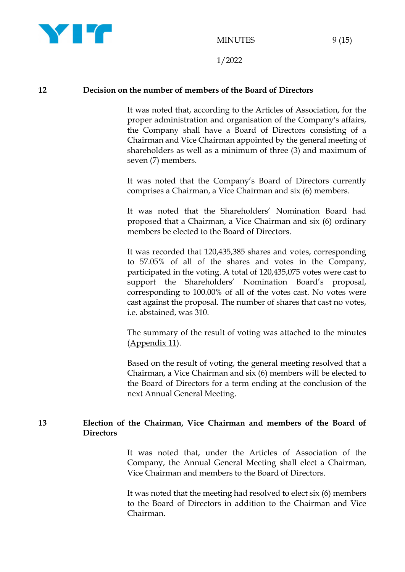

#### **12 Decision on the number of members of the Board of Directors**

It was noted that, according to the Articles of Association, for the proper administration and organisation of the Company's affairs, the Company shall have a Board of Directors consisting of a Chairman and Vice Chairman appointed by the general meeting of shareholders as well as a minimum of three (3) and maximum of seven (7) members.

It was noted that the Company's Board of Directors currently comprises a Chairman, a Vice Chairman and six (6) members.

It was noted that the Shareholders' Nomination Board had proposed that a Chairman, a Vice Chairman and six (6) ordinary members be elected to the Board of Directors.

It was recorded that 120,435,385 shares and votes, corresponding to 57.05% of all of the shares and votes in the Company, participated in the voting. A total of 120,435,075 votes were cast to support the Shareholders' Nomination Board's proposal, corresponding to 100.00% of all of the votes cast. No votes were cast against the proposal. The number of shares that cast no votes, i.e. abstained, was 310.

The summary of the result of voting was attached to the minutes (Appendix 11).

Based on the result of voting, the general meeting resolved that a Chairman, a Vice Chairman and six (6) members will be elected to the Board of Directors for a term ending at the conclusion of the next Annual General Meeting.

# <span id="page-8-0"></span>**13 Election of the Chairman, Vice Chairman and members of the Board of Directors**

It was noted that, under the Articles of Association of the Company, the Annual General Meeting shall elect a Chairman, Vice Chairman and members to the Board of Directors.

It was noted that the meeting had resolved to elect six (6) members to the Board of Directors in addition to the Chairman and Vice Chairman.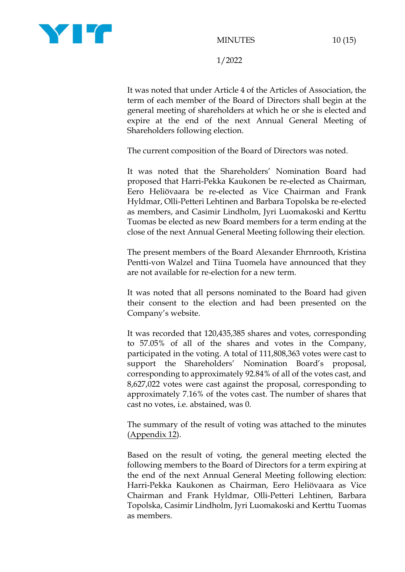

It was noted that under Article 4 of the Articles of Association, the term of each member of the Board of Directors shall begin at the general meeting of shareholders at which he or she is elected and expire at the end of the next Annual General Meeting of Shareholders following election.

The current composition of the Board of Directors was noted.

It was noted that the Shareholders' Nomination Board had proposed that Harri-Pekka Kaukonen be re-elected as Chairman, Eero Heliövaara be re-elected as Vice Chairman and Frank Hyldmar, Olli-Petteri Lehtinen and Barbara Topolska be re-elected as members, and Casimir Lindholm, Jyri Luomakoski and Kerttu Tuomas be elected as new Board members for a term ending at the close of the next Annual General Meeting following their election.

The present members of the Board Alexander Ehrnrooth, Kristina Pentti-von Walzel and Tiina Tuomela have announced that they are not available for re-election for a new term.

It was noted that all persons nominated to the Board had given their consent to the election and had been presented on the Company's website.

It was recorded that 120,435,385 shares and votes, corresponding to 57.05% of all of the shares and votes in the Company, participated in the voting. A total of 111,808,363 votes were cast to support the Shareholders' Nomination Board's proposal, corresponding to approximately 92.84% of all of the votes cast, and 8,627,022 votes were cast against the proposal, corresponding to approximately 7.16% of the votes cast. The number of shares that cast no votes, i.e. abstained, was 0.

The summary of the result of voting was attached to the minutes (Appendix 12).

Based on the result of voting, the general meeting elected the following members to the Board of Directors for a term expiring at the end of the next Annual General Meeting following election: Harri-Pekka Kaukonen as Chairman, Eero Heliövaara as Vice Chairman and Frank Hyldmar, Olli-Petteri Lehtinen, Barbara Topolska, Casimir Lindholm, Jyri Luomakoski and Kerttu Tuomas as members.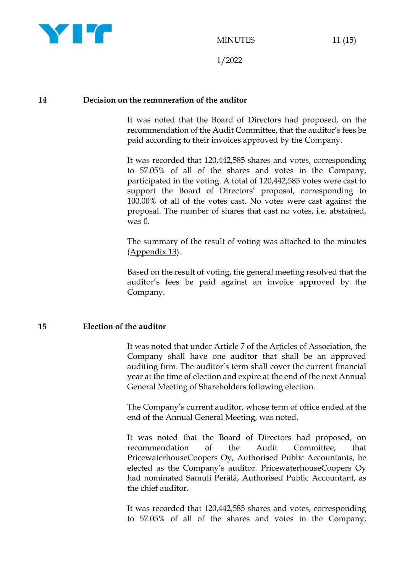

#### **14 Decision on the remuneration of the auditor**

It was noted that the Board of Directors had proposed, on the recommendation of the Audit Committee, that the auditor's fees be paid according to their invoices approved by the Company.

It was recorded that 120,442,585 shares and votes, corresponding to 57.05% of all of the shares and votes in the Company, participated in the voting. A total of 120,442,585 votes were cast to support the Board of Directors' proposal, corresponding to 100.00% of all of the votes cast. No votes were cast against the proposal. The number of shares that cast no votes, i.e. abstained, was  $0$ .

The summary of the result of voting was attached to the minutes (Appendix 13).

Based on the result of voting, the general meeting resolved that the auditor's fees be paid against an invoice approved by the Company.

## **15 Election of the auditor**

It was noted that under Article 7 of the Articles of Association, the Company shall have one auditor that shall be an approved auditing firm. The auditor's term shall cover the current financial year at the time of election and expire at the end of the next Annual General Meeting of Shareholders following election.

The Company's current auditor, whose term of office ended at the end of the Annual General Meeting, was noted.

It was noted that the Board of Directors had proposed, on recommendation of the Audit Committee, that PricewaterhouseCoopers Oy, Authorised Public Accountants, be elected as the Company's auditor. PricewaterhouseCoopers Oy had nominated Samuli Perälä, Authorised Public Accountant, as the chief auditor.

It was recorded that 120,442,585 shares and votes, corresponding to 57.05% of all of the shares and votes in the Company,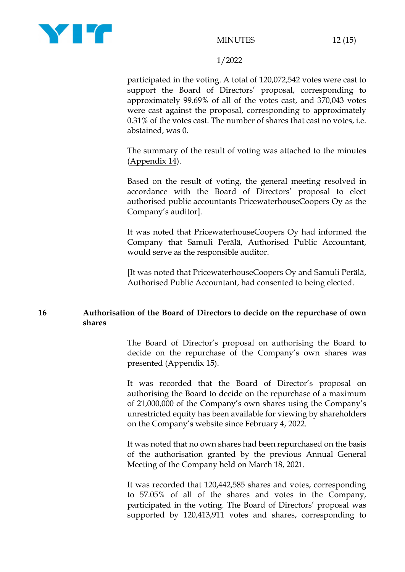

participated in the voting. A total of 120,072,542 votes were cast to support the Board of Directors' proposal, corresponding to approximately 99.69% of all of the votes cast, and 370,043 votes were cast against the proposal, corresponding to approximately 0.31% of the votes cast. The number of shares that cast no votes, i.e. abstained, was 0.

The summary of the result of voting was attached to the minutes (Appendix 14).

Based on the result of voting, the general meeting resolved in accordance with the Board of Directors' proposal to elect authorised public accountants PricewaterhouseCoopers Oy as the Company's auditor].

It was noted that PricewaterhouseCoopers Oy had informed the Company that Samuli Perälä, Authorised Public Accountant, would serve as the responsible auditor.

[It was noted that PricewaterhouseCoopers Oy and Samuli Perälä, Authorised Public Accountant, had consented to being elected.

## **16 Authorisation of the Board of Directors to decide on the repurchase of own shares**

The Board of Director's proposal on authorising the Board to decide on the repurchase of the Company's own shares was presented (Appendix 15).

It was recorded that the Board of Director's proposal on authorising the Board to decide on the repurchase of a maximum of 21,000,000 of the Company's own shares using the Company's unrestricted equity has been available for viewing by shareholders on the Company's website since February 4, 2022.

It was noted that no own shares had been repurchased on the basis of the authorisation granted by the previous Annual General Meeting of the Company held on March 18, 2021.

It was recorded that 120,442,585 shares and votes, corresponding to 57.05% of all of the shares and votes in the Company, participated in the voting. The Board of Directors' proposal was supported by 120,413,911 votes and shares, corresponding to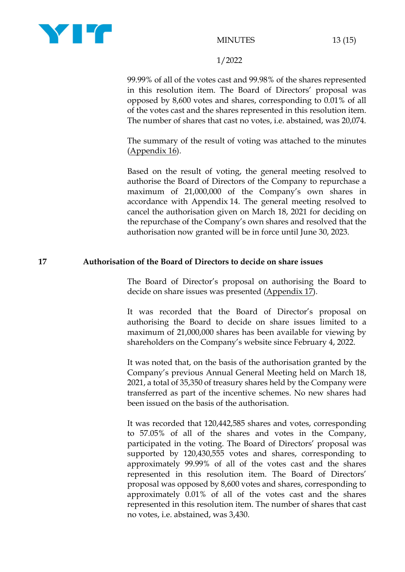

#### MINUTES 13 (15)

#### 1/2022

99.99% of all of the votes cast and 99.98% of the shares represented in this resolution item. The Board of Directors' proposal was opposed by 8,600 votes and shares, corresponding to 0.01% of all of the votes cast and the shares represented in this resolution item. The number of shares that cast no votes, i.e. abstained, was 20,074.

The summary of the result of voting was attached to the minutes (Appendix 16).

Based on the result of voting, the general meeting resolved to authorise the Board of Directors of the Company to repurchase a maximum of 21,000,000 of the Company's own shares in accordance with Appendix 14. The general meeting resolved to cancel the authorisation given on March 18, 2021 for deciding on the repurchase of the Company's own shares and resolved that the authorisation now granted will be in force until June 30, 2023.

# **17 Authorisation of the Board of Directors to decide on share issues**

The Board of Director's proposal on authorising the Board to decide on share issues was presented (Appendix 17).

It was recorded that the Board of Director's proposal on authorising the Board to decide on share issues limited to a maximum of 21,000,000 shares has been available for viewing by shareholders on the Company's website since February 4, 2022.

It was noted that, on the basis of the authorisation granted by the Company's previous Annual General Meeting held on March 18, 2021, a total of 35,350 of treasury shares held by the Company were transferred as part of the incentive schemes. No new shares had been issued on the basis of the authorisation.

It was recorded that 120,442,585 shares and votes, corresponding to 57.05% of all of the shares and votes in the Company, participated in the voting. The Board of Directors' proposal was supported by 120,430,555 votes and shares, corresponding to approximately 99.99% of all of the votes cast and the shares represented in this resolution item. The Board of Directors' proposal was opposed by 8,600 votes and shares, corresponding to approximately 0.01% of all of the votes cast and the shares represented in this resolution item. The number of shares that cast no votes, i.e. abstained, was 3,430.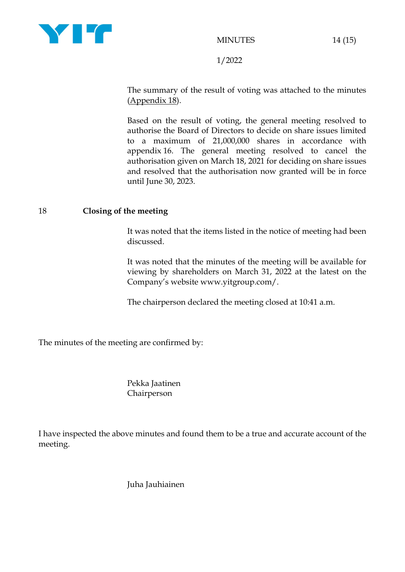

The summary of the result of voting was attached to the minutes (Appendix 18).

Based on the result of voting, the general meeting resolved to authorise the Board of Directors to decide on share issues limited to a maximum of 21,000,000 shares in accordance with appendix 16. The general meeting resolved to cancel the authorisation given on March 18, 2021 for deciding on share issues and resolved that the authorisation now granted will be in force until June 30, 2023.

# 18 **Closing of the meeting**

It was noted that the items listed in the notice of meeting had been discussed.

It was noted that the minutes of the meeting will be available for viewing by shareholders on March 31, 2022 at the latest on the Company's website www.yitgroup.com/.

The chairperson declared the meeting closed at 10:41 a.m.

The minutes of the meeting are confirmed by:

Pekka Jaatinen Chairperson

I have inspected the above minutes and found them to be a true and accurate account of the meeting.

Juha Jauhiainen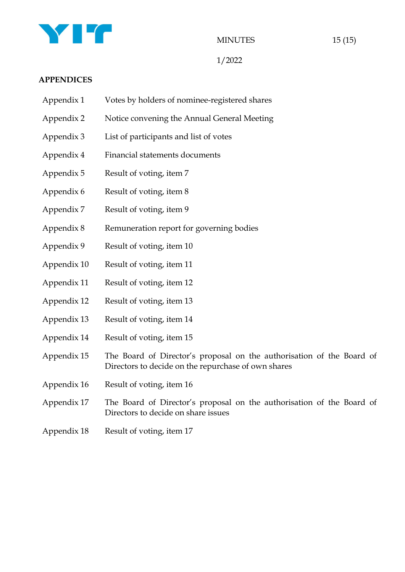

# **APPENDICES**

- Appendix 1 Votes by holders of nominee-registered shares
- Appendix 2 Notice convening the Annual General Meeting
- Appendix 3 List of participants and list of votes
- Appendix 4 Financial statements documents
- Appendix 5 Result of voting, item 7
- Appendix 6 Result of voting, item 8
- Appendix 7 Result of voting, item 9
- Appendix 8 Remuneration report for governing bodies
- Appendix 9 Result of voting, item 10
- Appendix 10 Result of voting, item 11
- Appendix 11 Result of voting, item 12
- Appendix 12 Result of voting, item 13
- Appendix 13 Result of voting, item 14
- Appendix 14 Result of voting, item 15
- Appendix 15 The Board of Director's proposal on the authorisation of the Board of Directors to decide on the repurchase of own shares
- Appendix 16 Result of voting, item 16
- Appendix 17 The Board of Director's proposal on the authorisation of the Board of Directors to decide on share issues
- Appendix 18 Result of voting, item 17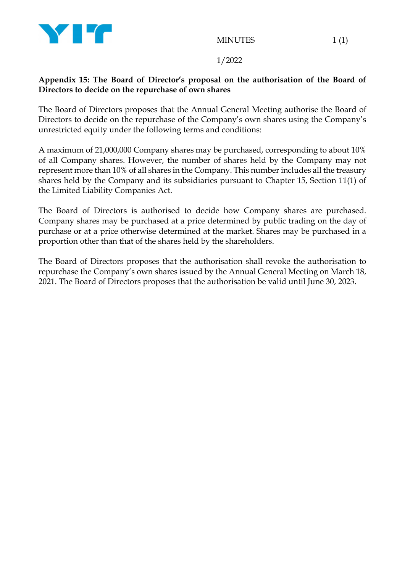

# **Appendix 15: The Board of Director's proposal on the authorisation of the Board of Directors to decide on the repurchase of own shares**

The Board of Directors proposes that the Annual General Meeting authorise the Board of Directors to decide on the repurchase of the Company's own shares using the Company's unrestricted equity under the following terms and conditions:

A maximum of 21,000,000 Company shares may be purchased, corresponding to about 10% of all Company shares. However, the number of shares held by the Company may not represent more than 10% of all shares in the Company. This number includes all the treasury shares held by the Company and its subsidiaries pursuant to Chapter 15, Section 11(1) of the Limited Liability Companies Act.

The Board of Directors is authorised to decide how Company shares are purchased. Company shares may be purchased at a price determined by public trading on the day of purchase or at a price otherwise determined at the market. Shares may be purchased in a proportion other than that of the shares held by the shareholders.

The Board of Directors proposes that the authorisation shall revoke the authorisation to repurchase the Company's own shares issued by the Annual General Meeting on March 18, 2021. The Board of Directors proposes that the authorisation be valid until June 30, 2023.